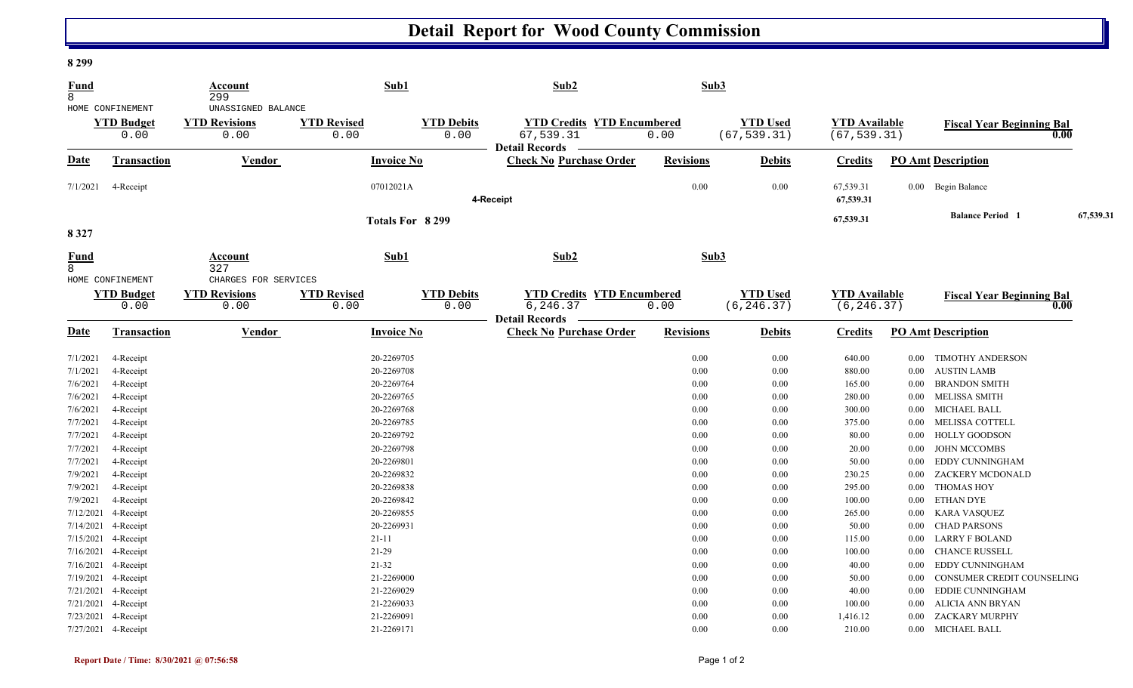## **Detail Report for Wood County Commission**

## **8 299**

| <b>Fund</b><br>8            |                                               | Account<br>299                                       |                            | Sub1                      | Sub2                                                    | Sub3             |                                |                                     |                         |                                  |      |
|-----------------------------|-----------------------------------------------|------------------------------------------------------|----------------------------|---------------------------|---------------------------------------------------------|------------------|--------------------------------|-------------------------------------|-------------------------|----------------------------------|------|
|                             | HOME CONFINEMENT<br><b>YTD Budget</b>         | UNASSIGNED BALANCE<br><b>YTD Revisions</b>           | <b>YTD Revised</b>         | <b>YTD Debits</b>         | <b>YTD Credits YTD Encumbered</b>                       |                  | <b>YTD Used</b>                | <b>YTD Available</b>                |                         | <b>Fiscal Year Beginning Bal</b> |      |
|                             | 0.00                                          | 0.00                                                 | 0.00                       | 0.00                      | 67,539.31<br><b>Detail Records</b>                      | 0.00             | (67, 539.31)                   | (67, 539.31)                        |                         |                                  | 0.00 |
| Date                        | <b>Transaction</b>                            | Vendor                                               |                            | <b>Invoice No</b>         | <b>Check No Purchase Order</b>                          | <b>Revisions</b> | <b>Debits</b>                  | <b>Credits</b>                      |                         | <b>PO Amt Description</b>        |      |
| 7/1/2021                    | 4-Receipt                                     |                                                      |                            | 07012021A                 | 4-Receipt                                               | 0.00             | 0.00                           | 67,539.31<br>67,539.31              |                         | 0.00 Begin Balance               |      |
| 8 3 2 7                     | Totals For 8 299                              |                                                      |                            |                           |                                                         |                  | 67,539.31                      |                                     | <b>Balance Period 1</b> | 67,539.31                        |      |
| <b>Fund</b><br>$\mathsf{R}$ |                                               | Account<br>327                                       |                            | Sub1                      | Sub2                                                    | Sub3             |                                |                                     |                         |                                  |      |
|                             | HOME CONFINEMENT<br><b>YTD Budget</b><br>0.00 | CHARGES FOR SERVICES<br><b>YTD Revisions</b><br>0.00 | <b>YTD Revised</b><br>0.00 | <b>YTD Debits</b><br>0.00 | <b>YTD Credits YTD Encumbered</b><br>6, 246.37          | 0.00             | <b>YTD Used</b><br>(6, 246.37) | <b>YTD Available</b><br>(6, 246.37) |                         | <b>Fiscal Year Beginning Bal</b> | 0.00 |
| Date                        | <b>Transaction</b>                            | Vendor                                               |                            | <b>Invoice No</b>         | <b>Detail Records</b><br><b>Check No Purchase Order</b> | <b>Revisions</b> | <b>Debits</b>                  | <b>Credits</b>                      |                         | <b>PO Amt Description</b>        |      |
| 7/1/2021                    | 4-Receipt                                     |                                                      |                            | 20-2269705                |                                                         | 0.00             | 0.00                           | 640.00                              | $0.00\,$                | TIMOTHY ANDERSON                 |      |
| 7/1/2021                    | 4-Receipt                                     |                                                      |                            | 20-2269708                |                                                         | 0.00             | 0.00                           | 880.00                              | $0.00\,$                | <b>AUSTIN LAMB</b>               |      |
| 7/6/2021                    | 4-Receipt                                     |                                                      |                            | 20-2269764                |                                                         | 0.00             | 0.00                           | 165.00                              | $0.00\,$                | <b>BRANDON SMITH</b>             |      |
| 7/6/2021                    | 4-Receipt                                     |                                                      |                            | 20-2269765                |                                                         | 0.00             | 0.00                           | 280.00                              | $0.00\,$                | <b>MELISSA SMITH</b>             |      |
| 7/6/2021                    | 4-Receipt                                     |                                                      |                            | 20-2269768                |                                                         | 0.00             | 0.00                           | 300.00                              | 0.00                    | MICHAEL BALL                     |      |
| 7/7/2021                    | 4-Receipt                                     |                                                      |                            | 20-2269785                |                                                         | 0.00             | 0.00                           | 375.00                              | $0.00\,$                | MELISSA COTTELL                  |      |
| 7/7/2021                    | 4-Receipt                                     |                                                      |                            | 20-2269792                |                                                         | 0.00             | 0.00                           | 80.00                               | $0.00\,$                | HOLLY GOODSON                    |      |
| 7/7/2021                    | 4-Receipt                                     |                                                      |                            | 20-2269798                |                                                         | 0.00             | 0.00                           | 20.00                               | $0.00\,$                | <b>JOHN MCCOMBS</b>              |      |
| 7/7/2021                    | 4-Receipt                                     |                                                      |                            | 20-2269801                |                                                         | 0.00             | 0.00                           | 50.00                               | 0.00                    | EDDY CUNNINGHAM                  |      |
| 7/9/2021                    | 4-Receipt                                     |                                                      |                            | 20-2269832                |                                                         | 0.00             | 0.00                           | 230.25                              | $0.00\,$                | ZACKERY MCDONALD                 |      |
| 7/9/2021                    | 4-Receipt                                     |                                                      |                            | 20-2269838                |                                                         | 0.00             | 0.00                           | 295.00                              | $0.00\,$                | <b>THOMAS HOY</b>                |      |
| 7/9/2021                    | 4-Receipt                                     |                                                      |                            | 20-2269842                |                                                         | 0.00             | 0.00                           | 100.00                              | $0.00\,$                | <b>ETHAN DYE</b>                 |      |
| 7/12/2021                   | 4-Receipt                                     |                                                      |                            | 20-2269855                |                                                         | 0.00             | 0.00                           | 265.00                              | 0.00                    | <b>KARA VASQUEZ</b>              |      |
| 7/14/2021                   | 4-Receipt                                     |                                                      |                            | 20-2269931                |                                                         | 0.00             | 0.00                           | 50.00                               | $0.00\,$                | <b>CHAD PARSONS</b>              |      |
| 7/15/2021                   | 4-Receipt                                     |                                                      | $21 - 11$                  |                           |                                                         | 0.00             | 0.00                           | 115.00                              | $0.00\,$                | LARRY F BOLAND                   |      |
| 7/16/2021                   | 4-Receipt                                     |                                                      | $21-29$                    |                           |                                                         | 0.00             | 0.00                           | 100.00                              | 0.00                    | <b>CHANCE RUSSELL</b>            |      |
|                             | 7/16/2021 4-Receipt                           |                                                      | 21-32                      |                           |                                                         | 0.00             | 0.00                           | 40.00                               | 0.00                    | EDDY CUNNINGHAM                  |      |
|                             | 7/19/2021 4-Receipt                           |                                                      |                            | 21-2269000                |                                                         | 0.00             | 0.00                           | 50.00                               | 0.00                    | CONSUMER CREDIT COUNSELING       |      |
|                             | 7/21/2021 4-Receipt                           |                                                      |                            | 21-2269029                |                                                         | 0.00             | 0.00                           | 40.00                               | 0.00                    | <b>EDDIE CUNNINGHAM</b>          |      |
| 7/21/2021                   | 4-Receipt                                     |                                                      |                            | 21-2269033                |                                                         | 0.00             | 0.00                           | 100.00                              | 0.00                    | ALICIA ANN BRYAN                 |      |
|                             | 7/23/2021 4-Receipt                           |                                                      |                            | 21-2269091                |                                                         | 0.00             | 0.00                           | 1,416.12                            | $0.00\,$                | ZACKARY MURPHY                   |      |
|                             | 7/27/2021 4-Receipt                           |                                                      |                            | 21-2269171                |                                                         | 0.00             | 0.00                           | 210.00                              |                         | 0.00 MICHAEL BALL                |      |